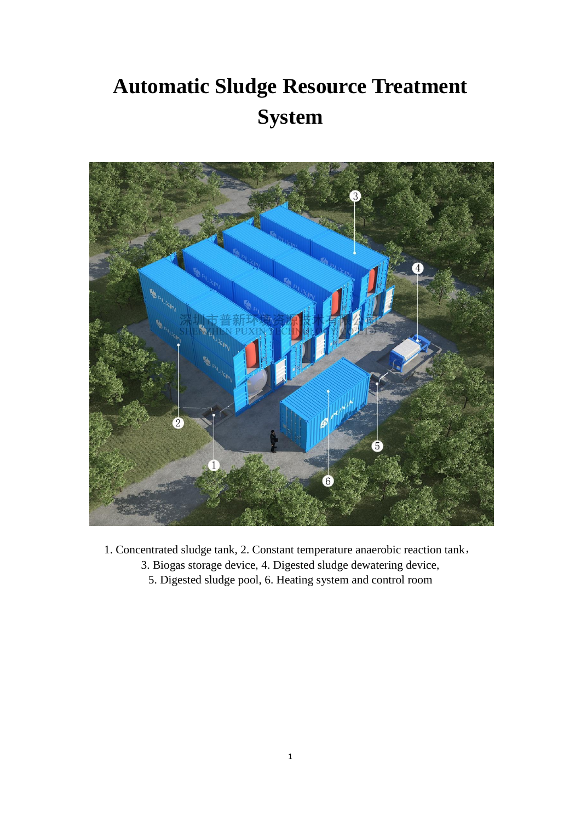# **Automatic Sludge Resource Treatment System**



1. Concentrated sludge tank, 2. Constant temperature anaerobic reaction tank, 3. Biogas storage device, 4. Digested sludge dewatering device, 5. Digested sludge pool, 6. Heating system and control room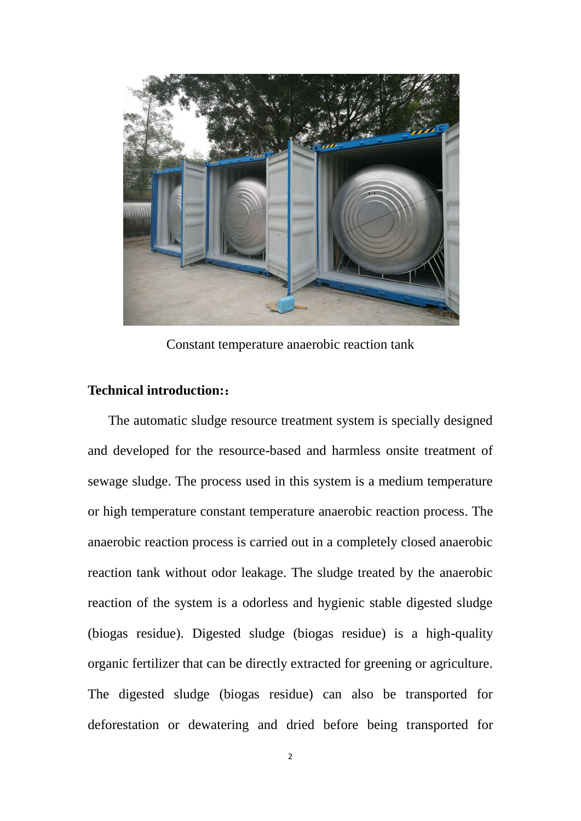

Constant temperature anaerobic reaction tank

### **Technical introduction:**:

The automatic sludge resource treatment system is specially designed and developed for the resource-based and harmless onsite treatment of sewage sludge. The process used in this system is a medium temperature or high temperature constant temperature anaerobic reaction process. The anaerobic reaction process is carried out in a completely closed anaerobic reaction tank without odor leakage. The sludge treated by the anaerobic reaction of the system is a odorless and hygienic stable digested sludge (biogas residue). Digested sludge (biogas residue) is a high-quality organic fertilizer that can be directly extracted for greening or agriculture. The digested sludge (biogas residue) can also be transported for deforestation or dewatering and dried before being transported for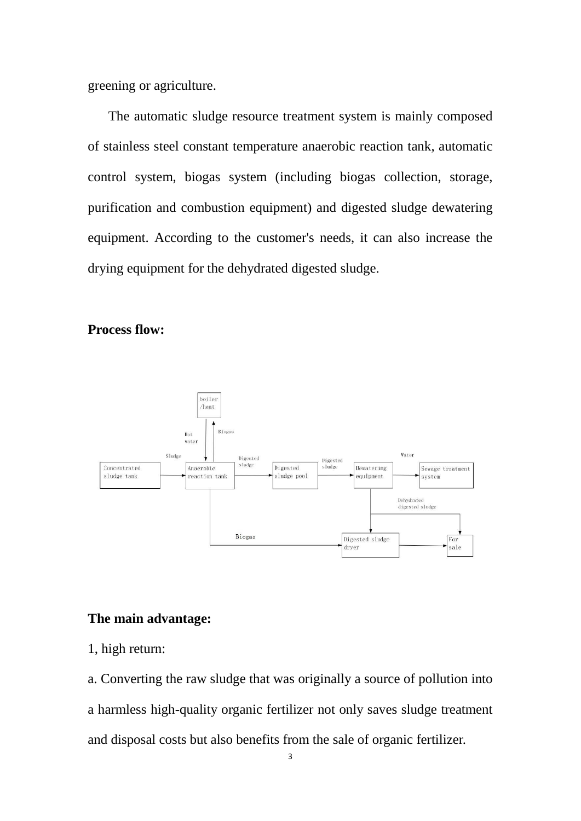greening or agriculture.

The automatic sludge resource treatment system is mainly composed of stainless steel constant temperature anaerobic reaction tank, automatic control system, biogas system (including biogas collection, storage, purification and combustion equipment) and digested sludge dewatering equipment. According to the customer's needs, it can also increase the drying equipment for the dehydrated digested sludge.

#### **Process flow:**



## **The main advantage:**

1, high return:

a. Converting the raw sludge that was originally a source of pollution into a harmless high-quality organic fertilizer not only saves sludge treatment and disposal costs but also benefits from the sale of organic fertilizer.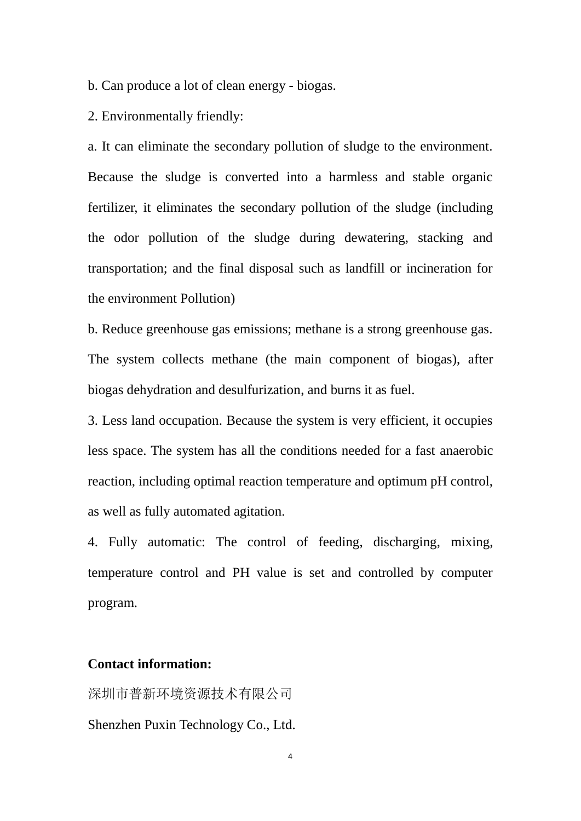b. Can produce a lot of clean energy - biogas.

2. Environmentally friendly:

a. It can eliminate the secondary pollution of sludge to the environment. Because the sludge is converted into a harmless and stable organic fertilizer, it eliminates the secondary pollution of the sludge (including the odor pollution of the sludge during dewatering, stacking and transportation; and the final disposal such as landfill or incineration for the environment Pollution)

b. Reduce greenhouse gas emissions; methane is a strong greenhouse gas. The system collects methane (the main component of biogas), after biogas dehydration and desulfurization, and burns it as fuel.

3. Less land occupation. Because the system is very efficient, it occupies less space. The system has all the conditions needed for a fast anaerobic reaction, including optimal reaction temperature and optimum pH control, as well as fully automated agitation.

4. Fully automatic: The control of feeding, discharging, mixing, temperature control and PH value is set and controlled by computer program.

#### **Contact information:**

深圳市普新环境资源技术有限公司 Shenzhen Puxin Technology Co., Ltd.

4